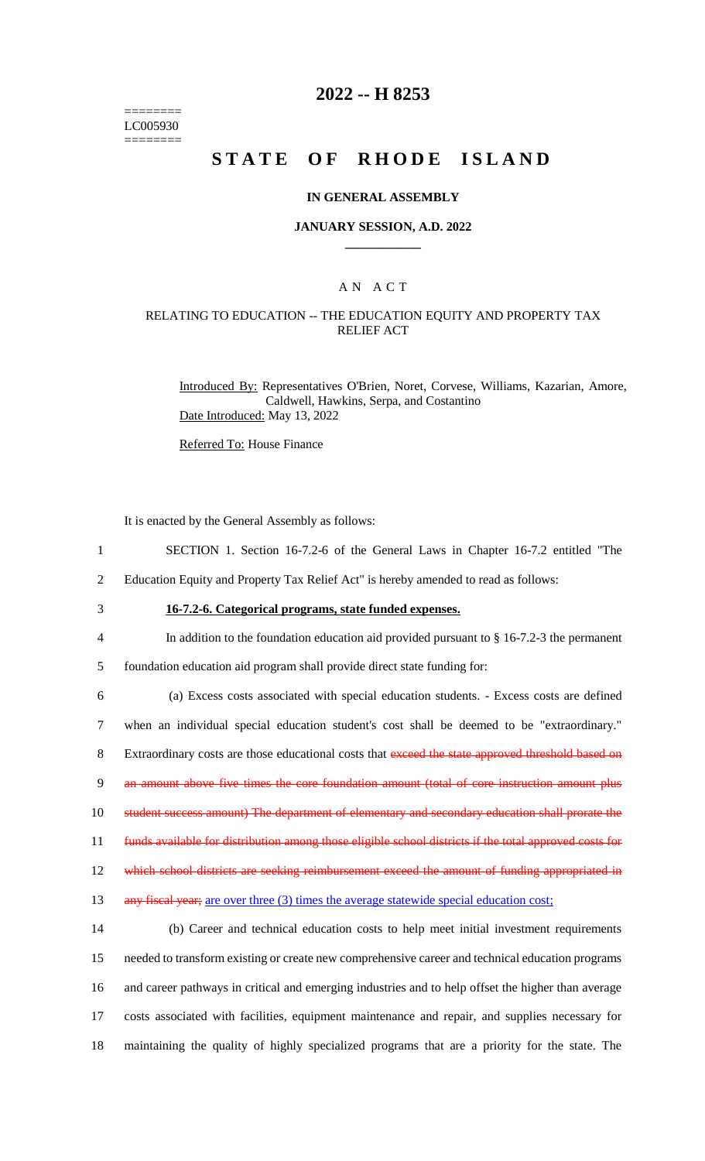======== LC005930 ========

### **2022 -- H 8253**

# **STATE OF RHODE ISLAND**

#### **IN GENERAL ASSEMBLY**

#### **JANUARY SESSION, A.D. 2022 \_\_\_\_\_\_\_\_\_\_\_\_**

### A N A C T

### RELATING TO EDUCATION -- THE EDUCATION EQUITY AND PROPERTY TAX RELIEF ACT

Introduced By: Representatives O'Brien, Noret, Corvese, Williams, Kazarian, Amore, Caldwell, Hawkins, Serpa, and Costantino Date Introduced: May 13, 2022

Referred To: House Finance

It is enacted by the General Assembly as follows:

- 1 SECTION 1. Section 16-7.2-6 of the General Laws in Chapter 16-7.2 entitled "The
- 2 Education Equity and Property Tax Relief Act" is hereby amended to read as follows:
- 

# 3 **16-7.2-6. Categorical programs, state funded expenses.**

4 In addition to the foundation education aid provided pursuant to § 16-7.2-3 the permanent

5 foundation education aid program shall provide direct state funding for:

6 (a) Excess costs associated with special education students. - Excess costs are defined 7 when an individual special education student's cost shall be deemed to be "extraordinary." 8 Extraordinary costs are those educational costs that exceed the state approved threshold based on 9 an amount above five times the core foundation amount (total of core instruction amount plus 10 student success amount) The department of elementary and secondary education shall prorate the 11 funds available for distribution among those eligible school districts if the total approved costs for 12 which school districts are seeking reimbursement exceed the amount of funding appropriated in 13 any fiscal year; are over three (3) times the average statewide special education cost; 14 (b) Career and technical education costs to help meet initial investment requirements

 needed to transform existing or create new comprehensive career and technical education programs and career pathways in critical and emerging industries and to help offset the higher than average costs associated with facilities, equipment maintenance and repair, and supplies necessary for maintaining the quality of highly specialized programs that are a priority for the state. The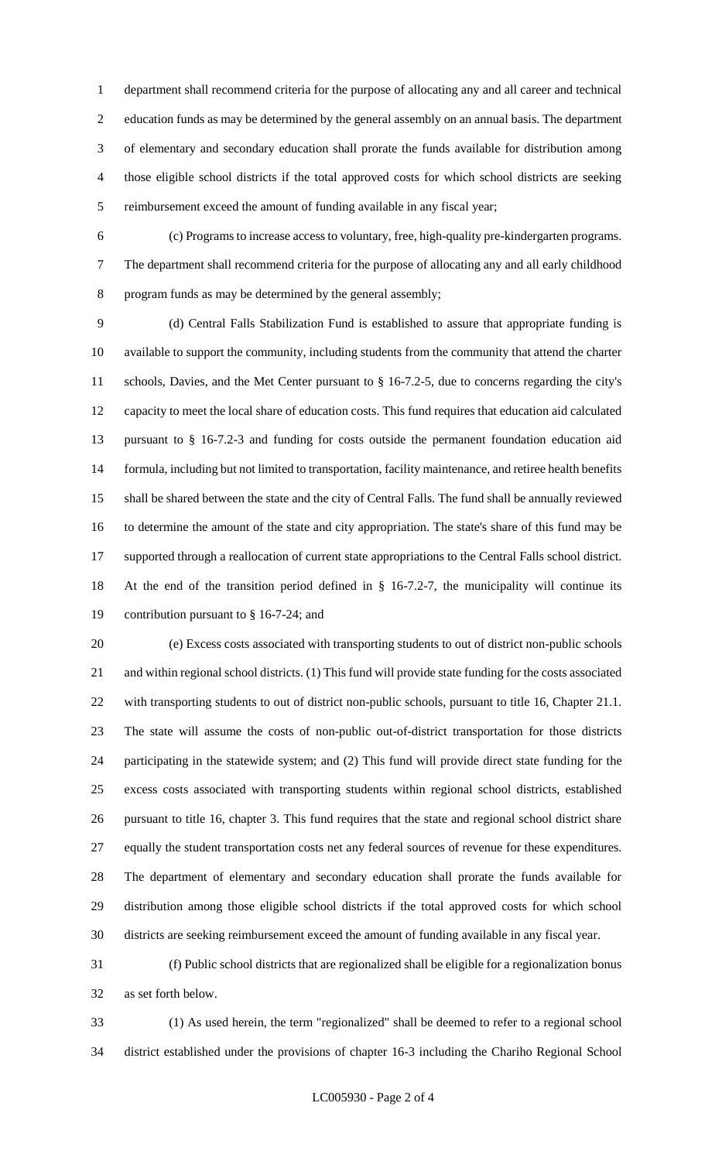department shall recommend criteria for the purpose of allocating any and all career and technical education funds as may be determined by the general assembly on an annual basis. The department of elementary and secondary education shall prorate the funds available for distribution among those eligible school districts if the total approved costs for which school districts are seeking reimbursement exceed the amount of funding available in any fiscal year;

 (c) Programs to increase access to voluntary, free, high-quality pre-kindergarten programs. The department shall recommend criteria for the purpose of allocating any and all early childhood program funds as may be determined by the general assembly;

 (d) Central Falls Stabilization Fund is established to assure that appropriate funding is available to support the community, including students from the community that attend the charter schools, Davies, and the Met Center pursuant to § 16-7.2-5, due to concerns regarding the city's capacity to meet the local share of education costs. This fund requires that education aid calculated pursuant to § 16-7.2-3 and funding for costs outside the permanent foundation education aid formula, including but not limited to transportation, facility maintenance, and retiree health benefits shall be shared between the state and the city of Central Falls. The fund shall be annually reviewed to determine the amount of the state and city appropriation. The state's share of this fund may be supported through a reallocation of current state appropriations to the Central Falls school district. At the end of the transition period defined in § 16-7.2-7, the municipality will continue its contribution pursuant to § 16-7-24; and

 (e) Excess costs associated with transporting students to out of district non-public schools and within regional school districts. (1) This fund will provide state funding for the costs associated with transporting students to out of district non-public schools, pursuant to title 16, Chapter 21.1. The state will assume the costs of non-public out-of-district transportation for those districts participating in the statewide system; and (2) This fund will provide direct state funding for the excess costs associated with transporting students within regional school districts, established pursuant to title 16, chapter 3. This fund requires that the state and regional school district share equally the student transportation costs net any federal sources of revenue for these expenditures. The department of elementary and secondary education shall prorate the funds available for distribution among those eligible school districts if the total approved costs for which school districts are seeking reimbursement exceed the amount of funding available in any fiscal year.

 (f) Public school districts that are regionalized shall be eligible for a regionalization bonus as set forth below.

 (1) As used herein, the term "regionalized" shall be deemed to refer to a regional school district established under the provisions of chapter 16-3 including the Chariho Regional School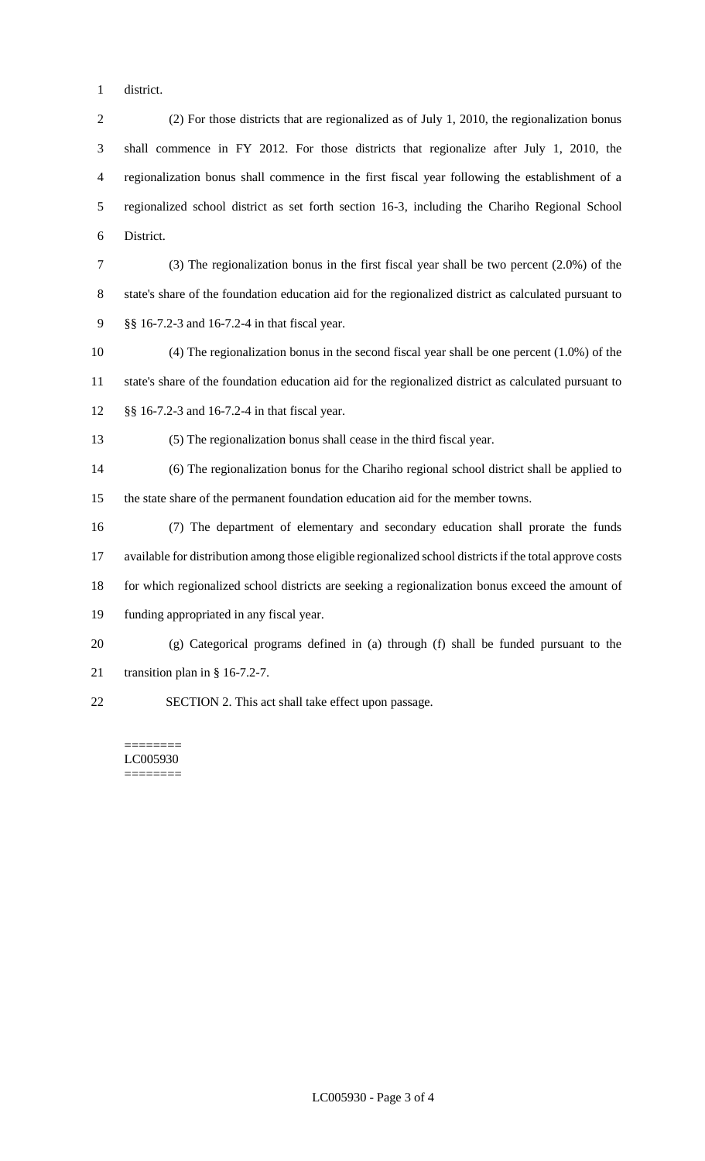district.

 (2) For those districts that are regionalized as of July 1, 2010, the regionalization bonus shall commence in FY 2012. For those districts that regionalize after July 1, 2010, the regionalization bonus shall commence in the first fiscal year following the establishment of a regionalized school district as set forth section 16-3, including the Chariho Regional School District.

 (3) The regionalization bonus in the first fiscal year shall be two percent (2.0%) of the state's share of the foundation education aid for the regionalized district as calculated pursuant to §§ 16-7.2-3 and 16-7.2-4 in that fiscal year.

 (4) The regionalization bonus in the second fiscal year shall be one percent (1.0%) of the state's share of the foundation education aid for the regionalized district as calculated pursuant to §§ 16-7.2-3 and 16-7.2-4 in that fiscal year.

(5) The regionalization bonus shall cease in the third fiscal year.

 (6) The regionalization bonus for the Chariho regional school district shall be applied to the state share of the permanent foundation education aid for the member towns.

 (7) The department of elementary and secondary education shall prorate the funds available for distribution among those eligible regionalized school districts if the total approve costs for which regionalized school districts are seeking a regionalization bonus exceed the amount of funding appropriated in any fiscal year.

 (g) Categorical programs defined in (a) through (f) shall be funded pursuant to the transition plan in § 16-7.2-7.

SECTION 2. This act shall take effect upon passage.

======== LC005930 ========